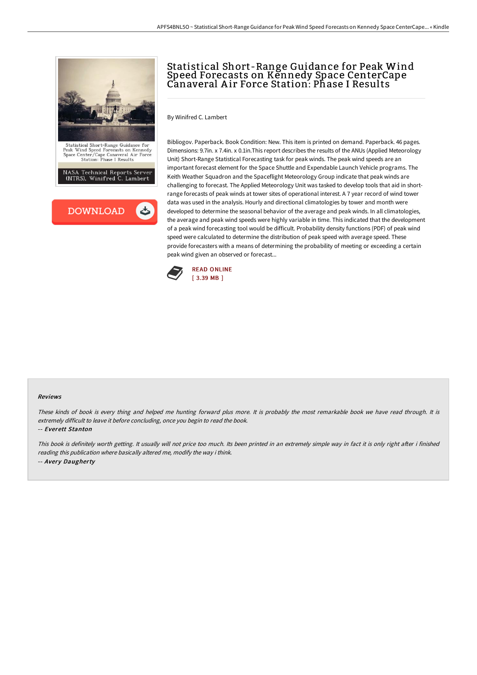

# Statistical Short-Range Guidance for Peak Wind Speed Forecasts on Kennedy Space CenterCape Canaveral A ir Force Station: Phase I Results

By Winifred C. Lambert

Bibliogov. Paperback. Book Condition: New. This item is printed on demand. Paperback. 46 pages. Dimensions: 9.7in. x 7.4in. x 0.1in.This report describes the results of the ANUs (Applied Meteorology Unit) Short-Range Statistical Forecasting task for peak winds. The peak wind speeds are an important forecast element for the Space Shuttle and Expendable Launch Vehicle programs. The Keith Weather Squadron and the Spaceflight Meteorology Group indicate that peak winds are challenging to forecast. The Applied Meteorology Unit was tasked to develop tools that aid in shortrange forecasts of peak winds at tower sites of operational interest. A 7 year record of wind tower data was used in the analysis. Hourly and directional climatologies by tower and month were developed to determine the seasonal behavior of the average and peak winds. In all climatologies, the average and peak wind speeds were highly variable in time. This indicated that the development of a peak wind forecasting tool would be difficult. Probability density functions (PDF) of peak wind speed were calculated to determine the distribution of peak speed with average speed. These provide forecasters with a means of determining the probability of meeting or exceeding a certain peak wind given an observed or forecast...



#### Reviews

These kinds of book is every thing and helped me hunting forward plus more. It is probably the most remarkable book we have read through. It is extremely difficult to leave it before concluding, once you begin to read the book.

#### -- Everett Stanton

This book is definitely worth getting. It usually will not price too much. Its been printed in an extremely simple way in fact it is only right after i finished reading this publication where basically altered me, modify the way i think. -- Avery Daugherty